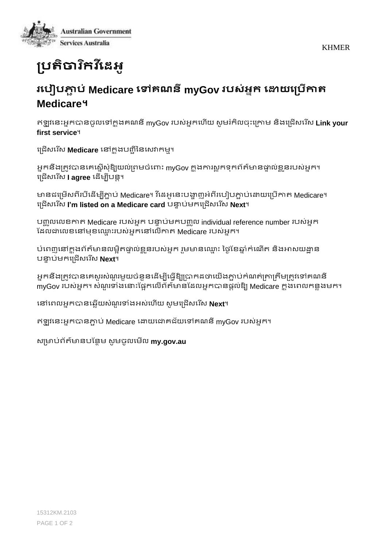KHMER



## **ប្រតិចារកិ វដីេអ ូ**

## **រដរៀរភ្ជា រ់ Medicare ដៅគណនីmyGov ររស់អនក ដោយដប្រើកាត Medicare។**

ឥឡូ វននេះអ្នកបានចូលនៅកន ុងគណនីmyGov របស់អ្នកន ើយ សូ មរំកិលច េះនរោម និងនររើសនរ ើស **Link your first service**។

រជ្រើសរើស **Medicare** នៅក្នុងបញ្ជីនៃសេវាកម្ម។

អ្នកនឹងត្រូវបានគេស្នើសំឱ្យយល់ព្រមចំពោះ mvGov ក្នុងការសកទកព័ត៌មានផ្ទាល់ខ្លួនរបស់អ្នក។ នររើសនរ ើស **I agree** ន ើមបីបនត។

មានជម្រើសពីរបីដើម្បីភ្ជាប់ Medicare។ វីដេអូនេះបង្ហាញអំពីរបៀបភ្ជាប់ដោយប្រើកាត Medicare។ នររើសនរ ើស **I'm listed on a Medicare card** បន្ទា ប់មកនររើសនរ ើស **Next**។

បញ្ឈូលលេខកាត Medicare របស់អ្នក បន្ទាប់មកបញ្ឈូល individual reference number របស់អ្នក ដ លជានលខ្នៅម ខ្ន្ម េះរបស់អ្នកនៅនលើោរ Medicare របស់អ្នក។

ប់ពេញនៅក្នុងព័ត៌មានលម្អិតផ្ទាល់ខ្លួនរបស់អ្នក រួមមានឈ្មោះ ថ្ងៃខែឆ្នាំកំណើត និងអាសយដ្ឋាន បន្ទា ប់មកនររើសនរ ើស **Next**។

អ្នកនឹងត្រូវបានគេសួរសំណួរមួយចំនួនដើម្បីធ្វើឱ្យប្រាកដថាយើងភ្ជាប់កំណត់ត្រាត្រឹមត្រូវទៅគណនី myGov របស់អ្នក។ សំណួរទាំងនោះផ្អែកលើព័ត៌មានដែលអ្នកបានផ្តល់ឱ្យ Medicare ក្នុងពេលកន្លងមក។

នៅនរលអ្នកបានន្លើយសុំណួ រទ ុំងអ្ស់ន ើយ សូ មនររើសនរ ើស **Next**។

ឥឡូ វននេះអ្នកបានភ្ជជ ប់ Medicare នយយនជាគរ័យនៅគណនីmyGov របស់អ្នក។

សរមាប់រ័រ៌មានបដនែម សូ មចូលនមើល **my.gov.au**